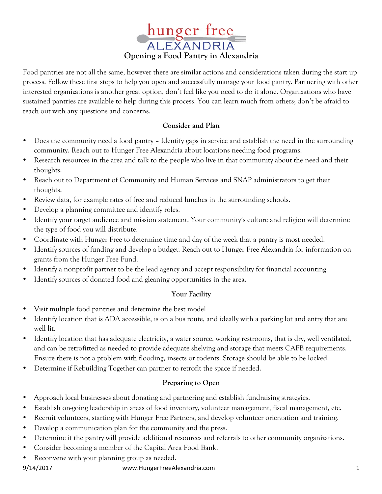

Food pantries are not all the same, however there are similar actions and considerations taken during the start up process. Follow these first steps to help you open and successfully manage your food pantry. Partnering with other interested organizations is another great option, don't feel like you need to do it alone. Organizations who have sustained pantries are available to help during this process. You can learn much from others; don't be afraid to reach out with any questions and concerns.

# **Consider and Plan**

- Does the community need a food pantry Identify gaps in service and establish the need in the surrounding community. Reach out to Hunger Free Alexandria about locations needing food programs.
- Research resources in the area and talk to the people who live in that community about the need and their thoughts.
- Reach out to Department of Community and Human Services and SNAP administrators to get their thoughts.
- Review data, for example rates of free and reduced lunches in the surrounding schools.
- Develop a planning committee and identify roles.
- Identify your target audience and mission statement. Your community's culture and religion will determine the type of food you will distribute.
- Coordinate with Hunger Free to determine time and day of the week that a pantry is most needed.
- Identify sources of funding and develop a budget. Reach out to Hunger Free Alexandria for information on grants from the Hunger Free Fund.
- Identify a nonprofit partner to be the lead agency and accept responsibility for financial accounting.
- Identify sources of donated food and gleaning opportunities in the area.

# **Your Facility**

- Visit multiple food pantries and determine the best model
- Identify location that is ADA accessible, is on a bus route, and ideally with a parking lot and entry that are well lit.
- Identify location that has adequate electricity, a water source, working restrooms, that is dry, well ventilated, and can be retrofitted as needed to provide adequate shelving and storage that meets CAFB requirements. Ensure there is not a problem with flooding, insects or rodents. Storage should be able to be locked.
- Determine if Rebuilding Together can partner to retrofit the space if needed.

# **Preparing to Open**

- Approach local businesses about donating and partnering and establish fundraising strategies.
- Establish on-going leadership in areas of food inventory, volunteer management, fiscal management, etc.
- Recruit volunteers, starting with Hunger Free Partners, and develop volunteer orientation and training.
- Develop a communication plan for the community and the press.
- Determine if the pantry will provide additional resources and referrals to other community organizations.
- Consider becoming a member of the Capital Area Food Bank.
- Reconvene with your planning group as needed.

#### 9/14/2017 www.HungerFreeAlexandria.com 1